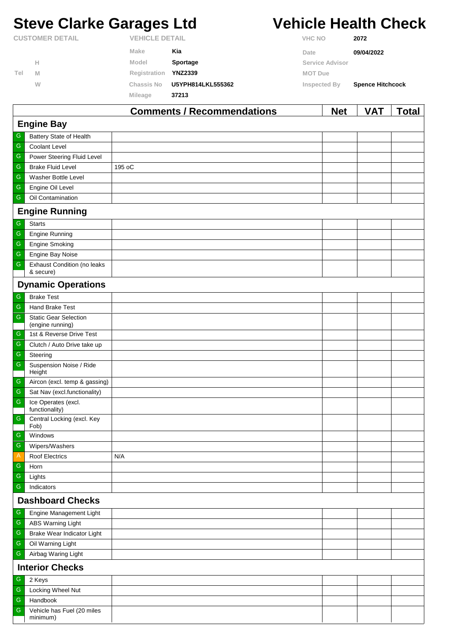# **Steve Clarke Garages Ltd Vehicle Health Check**

|                        |   |                       | Comments / Recommendations |                | <b>Net</b>             | <b>VAT</b>              | Total |
|------------------------|---|-----------------------|----------------------------|----------------|------------------------|-------------------------|-------|
|                        |   | <b>Mileage</b>        | 37213                      |                |                        |                         |       |
|                        | W | Chassis No            | U5YPH814LKL555362          |                | Inspected By           | <b>Spence Hitchcock</b> |       |
| Tel                    | M | Registration          | <b>YNZ2339</b>             | <b>MOT Due</b> |                        |                         |       |
|                        | н | Model                 | <b>Sportage</b>            |                | <b>Service Advisor</b> |                         |       |
|                        |   | Make                  | Kia                        | Date           |                        | 09/04/2022              |       |
| <b>CUSTOMER DETAIL</b> |   | <b>VEHICLE DETAIL</b> |                            | <b>VHC NO</b>  |                        | 2072                    |       |

|                         |                                                  | Comments / Recommendations | <b>Net</b> | <b>VAI</b> | <b>Total</b> |  |  |
|-------------------------|--------------------------------------------------|----------------------------|------------|------------|--------------|--|--|
|                         | <b>Engine Bay</b>                                |                            |            |            |              |  |  |
| G                       | Battery State of Health                          |                            |            |            |              |  |  |
| ${\mathsf G}$           | Coolant Level                                    |                            |            |            |              |  |  |
| ${\mathsf G}$           | Power Steering Fluid Level                       |                            |            |            |              |  |  |
| ${\mathsf G}$           | <b>Brake Fluid Level</b>                         | 195 oC                     |            |            |              |  |  |
| ${\mathsf G}$           | Washer Bottle Level                              |                            |            |            |              |  |  |
| ${\mathsf G}$           | Engine Oil Level                                 |                            |            |            |              |  |  |
| ${\mathsf G}$           | Oil Contamination                                |                            |            |            |              |  |  |
|                         | <b>Engine Running</b>                            |                            |            |            |              |  |  |
| ${\mathsf G}$           | <b>Starts</b>                                    |                            |            |            |              |  |  |
| ${\mathsf G}$           | <b>Engine Running</b>                            |                            |            |            |              |  |  |
| ${\mathsf G}$           | <b>Engine Smoking</b>                            |                            |            |            |              |  |  |
| ${\mathsf G}$           | Engine Bay Noise                                 |                            |            |            |              |  |  |
| ${\mathsf G}$           | <b>Exhaust Condition (no leaks</b><br>& secure)  |                            |            |            |              |  |  |
|                         | <b>Dynamic Operations</b>                        |                            |            |            |              |  |  |
| ${\mathsf G}$           | <b>Brake Test</b>                                |                            |            |            |              |  |  |
| $\overline{\mathbb{G}}$ | <b>Hand Brake Test</b>                           |                            |            |            |              |  |  |
| ${\mathsf G}$           | <b>Static Gear Selection</b><br>(engine running) |                            |            |            |              |  |  |
| G                       | 1st & Reverse Drive Test                         |                            |            |            |              |  |  |
| ${\mathsf G}$           | Clutch / Auto Drive take up                      |                            |            |            |              |  |  |
| ${\mathsf G}$           | Steering                                         |                            |            |            |              |  |  |
| ${\mathsf G}$           | Suspension Noise / Ride<br>Height                |                            |            |            |              |  |  |
| ${\mathsf G}$           | Aircon (excl. temp & gassing)                    |                            |            |            |              |  |  |
| ${\mathsf G}$           | Sat Nav (excl.functionality)                     |                            |            |            |              |  |  |
| ${\mathsf G}$           | Ice Operates (excl.<br>functionality)            |                            |            |            |              |  |  |
| ${\mathsf G}$           | Central Locking (excl. Key<br>Fob)               |                            |            |            |              |  |  |
| G                       | Windows                                          |                            |            |            |              |  |  |
| ${\mathsf G}$           | Wipers/Washers                                   |                            |            |            |              |  |  |
| $\mathsf{A}$            | <b>Roof Electrics</b>                            | N/A                        |            |            |              |  |  |
| G                       | Horn                                             |                            |            |            |              |  |  |
| ${\mathsf G}$           | Lights                                           |                            |            |            |              |  |  |
| ${\mathsf G}$           | Indicators                                       |                            |            |            |              |  |  |
|                         | <b>Dashboard Checks</b>                          |                            |            |            |              |  |  |
| G                       | Engine Management Light                          |                            |            |            |              |  |  |
| ${\mathsf G}$           | ABS Warning Light                                |                            |            |            |              |  |  |
| ${\mathsf G}$           | Brake Wear Indicator Light                       |                            |            |            |              |  |  |
| ${\mathsf G}$           | Oil Warning Light                                |                            |            |            |              |  |  |
| ${\mathsf G}$           | Airbag Waring Light                              |                            |            |            |              |  |  |
| <b>Interior Checks</b>  |                                                  |                            |            |            |              |  |  |
| G                       | 2 Keys                                           |                            |            |            |              |  |  |
| ${\mathsf G}$           | Locking Wheel Nut                                |                            |            |            |              |  |  |
| ${\mathsf G}$           | Handbook                                         |                            |            |            |              |  |  |
| ${\mathsf G}$           | Vehicle has Fuel (20 miles<br>minimum)           |                            |            |            |              |  |  |